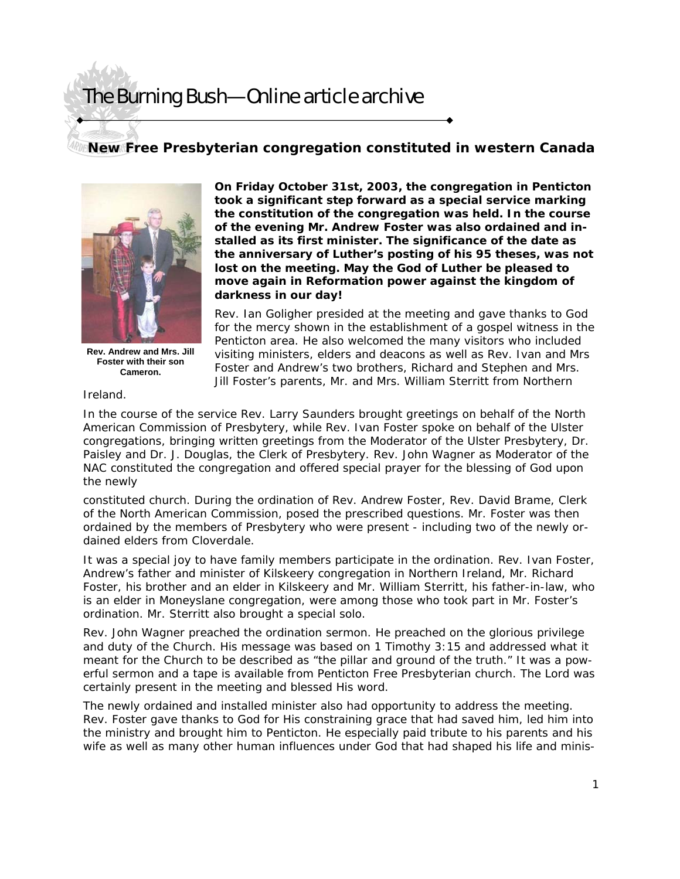## The Burning Bush—Online article archive

## **New Free Presbyterian congregation constituted in western Canada**



**Rev. Andrew and Mrs. Jill Foster with their son Cameron.** 

**On Friday October 31st, 2003, the congregation in Penticton took a significant step forward as a special service marking the constitution of the congregation was held. In the course of the evening Mr. Andrew Foster was also ordained and installed as its first minister. The significance of the date as the anniversary of Luther's posting of his 95 theses, was not lost on the meeting. May the God of Luther be pleased to move again in Reformation power against the kingdom of darkness in our day!** 

Rev. Ian Goligher presided at the meeting and gave thanks to God for the mercy shown in the establishment of a gospel witness in the Penticton area. He also welcomed the many visitors who included visiting ministers, elders and deacons as well as Rev. Ivan and Mrs Foster and Andrew's two brothers, Richard and Stephen and Mrs. Jill Foster's parents, Mr. and Mrs. William Sterritt from Northern

Ireland.

In the course of the service Rev. Larry Saunders brought greetings on behalf of the North American Commission of Presbytery, while Rev. Ivan Foster spoke on behalf of the Ulster congregations, bringing written greetings from the Moderator of the Ulster Presbytery, Dr. Paisley and Dr. J. Douglas, the Clerk of Presbytery. Rev. John Wagner as Moderator of the NAC constituted the congregation and offered special prayer for the blessing of God upon the newly

constituted church. During the ordination of Rev. Andrew Foster, Rev. David Brame, Clerk of the North American Commission, posed the prescribed questions. Mr. Foster was then ordained by the members of Presbytery who were present - including two of the newly ordained elders from Cloverdale.

It was a special joy to have family members participate in the ordination. Rev. Ivan Foster, Andrew's father and minister of Kilskeery congregation in Northern Ireland, Mr. Richard Foster, his brother and an elder in Kilskeery and Mr. William Sterritt, his father-in-law, who is an elder in Moneyslane congregation, were among those who took part in Mr. Foster's ordination. Mr. Sterritt also brought a special solo.

Rev. John Wagner preached the ordination sermon. He preached on the glorious privilege and duty of the Church. His message was based on 1 Timothy 3:15 and addressed what it meant for the Church to be described as "the pillar and ground of the truth." It was a powerful sermon and a tape is available from Penticton Free Presbyterian church. The Lord was certainly present in the meeting and blessed His word.

The newly ordained and installed minister also had opportunity to address the meeting. Rev. Foster gave thanks to God for His constraining grace that had saved him, led him into the ministry and brought him to Penticton. He especially paid tribute to his parents and his wife as well as many other human influences under God that had shaped his life and minis-